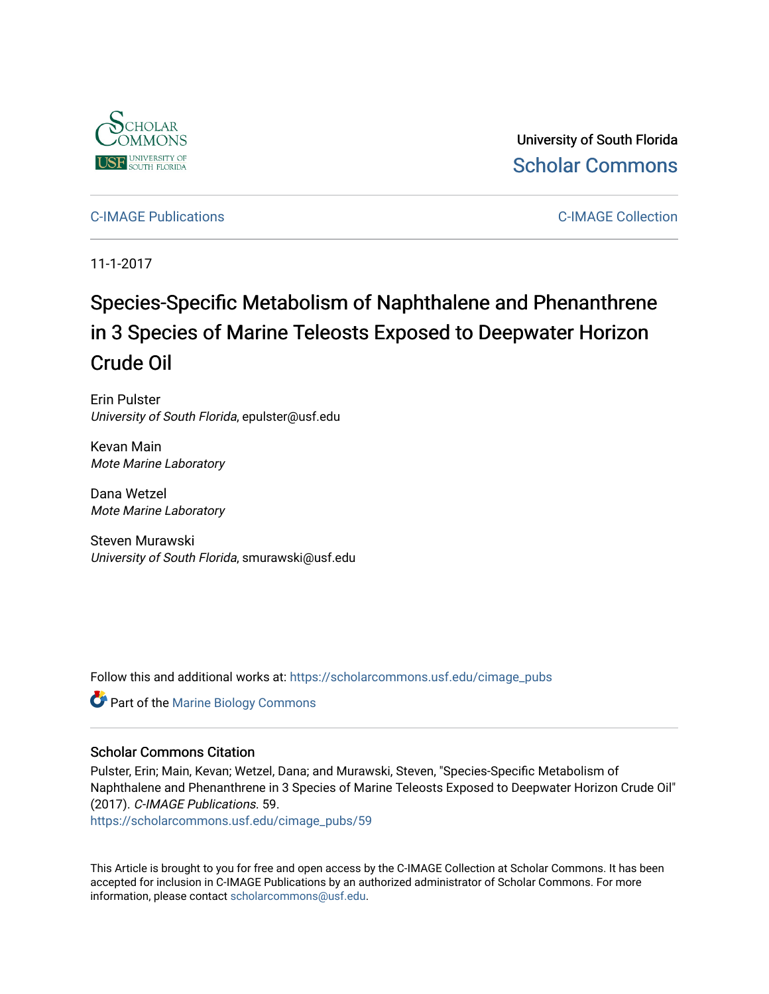

University of South Florida [Scholar Commons](https://scholarcommons.usf.edu/) 

[C-IMAGE Publications](https://scholarcommons.usf.edu/cimage_pubs) [C-IMAGE Collection](https://scholarcommons.usf.edu/cimage) 

11-1-2017

# Species-Specific Metabolism of Naphthalene and Phenanthrene in 3 Species of Marine Teleosts Exposed to Deepwater Horizon Crude Oil

Erin Pulster University of South Florida, epulster@usf.edu

Kevan Main Mote Marine Laboratory

Dana Wetzel Mote Marine Laboratory

Steven Murawski University of South Florida, smurawski@usf.edu

Follow this and additional works at: [https://scholarcommons.usf.edu/cimage\\_pubs](https://scholarcommons.usf.edu/cimage_pubs?utm_source=scholarcommons.usf.edu%2Fcimage_pubs%2F59&utm_medium=PDF&utm_campaign=PDFCoverPages) 

Part of the [Marine Biology Commons](http://network.bepress.com/hgg/discipline/1126?utm_source=scholarcommons.usf.edu%2Fcimage_pubs%2F59&utm_medium=PDF&utm_campaign=PDFCoverPages) 

# Scholar Commons Citation

Pulster, Erin; Main, Kevan; Wetzel, Dana; and Murawski, Steven, "Species-Specific Metabolism of Naphthalene and Phenanthrene in 3 Species of Marine Teleosts Exposed to Deepwater Horizon Crude Oil" (2017). C-IMAGE Publications. 59.

[https://scholarcommons.usf.edu/cimage\\_pubs/59](https://scholarcommons.usf.edu/cimage_pubs/59?utm_source=scholarcommons.usf.edu%2Fcimage_pubs%2F59&utm_medium=PDF&utm_campaign=PDFCoverPages)

This Article is brought to you for free and open access by the C-IMAGE Collection at Scholar Commons. It has been accepted for inclusion in C-IMAGE Publications by an authorized administrator of Scholar Commons. For more information, please contact [scholarcommons@usf.edu](mailto:scholarcommons@usf.edu).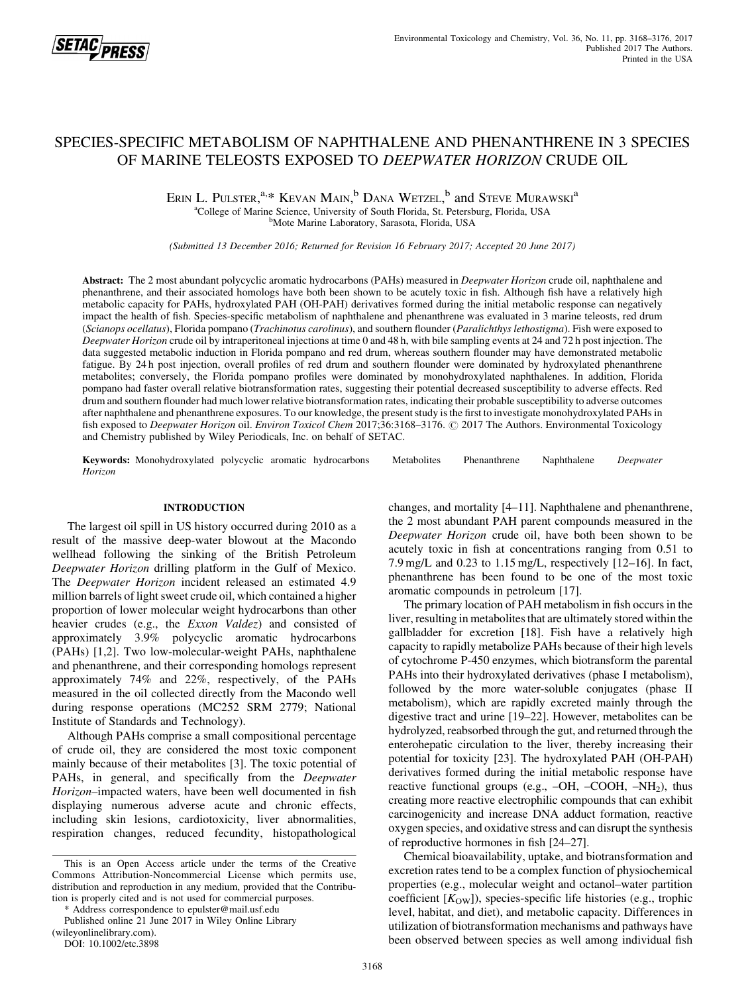

# SPECIES-SPECIFIC METABOLISM OF NAPHTHALENE AND PHENANTHRENE IN 3 SPECIES OF MARINE TELEOSTS EXPOSED TO DEEPWATER HORIZON CRUDE OIL

ERIN L. PULSTER,<sup>a,\*</sup> KEVAN MAIN,<sup>b</sup> DANA WETZEL,<sup>b</sup> and Steve Murawski<sup>a</sup> <sup>a</sup>College of Marine Science, University of South Florida, St. Petersburg, Florida, USA Mote Marine Laboratory, Sarasota, Florida, USA

(Submitted 13 December 2016; Returned for Revision 16 February 2017; Accepted 20 June 2017)

Abstract: The 2 most abundant polycyclic aromatic hydrocarbons (PAHs) measured in *Deepwater Horizon* crude oil, naphthalene and phenanthrene, and their associated homologs have both been shown to be acutely toxic in fish. Although fish have a relatively high metabolic capacity for PAHs, hydroxylated PAH (OH-PAH) derivatives formed during the initial metabolic response can negatively impact the health of fish. Species-specific metabolism of naphthalene and phenanthrene was evaluated in 3 marine teleosts, red drum (Scianops ocellatus), Florida pompano (Trachinotus carolinus), and southern flounder (Paralichthys lethostigma). Fish were exposed to Deepwater Horizon crude oil by intraperitoneal injections at time 0 and 48 h, with bile sampling events at 24 and 72 h post injection. The data suggested metabolic induction in Florida pompano and red drum, whereas southern flounder may have demonstrated metabolic fatigue. By 24 h post injection, overall profiles of red drum and southern flounder were dominated by hydroxylated phenanthrene metabolites; conversely, the Florida pompano profiles were dominated by monohydroxylated naphthalenes. In addition, Florida pompano had faster overall relative biotransformation rates, suggesting their potential decreased susceptibility to adverse effects. Red drum and southern flounder had much lower relative biotransformation rates, indicating their probable susceptibility to adverse outcomes after naphthalene and phenanthrene exposures. To our knowledge, the present study is the first to investigate monohydroxylated PAHs in fish exposed to Deepwater Horizon oil. Environ Toxicol Chem 2017;36:3168-3176.  $\odot$  2017 The Authors. Environmental Toxicology and Chemistry published by Wiley Periodicals, Inc. on behalf of SETAC.

Keywords: Monohydroxylated polycyclic aromatic hydrocarbons Metabolites Phenanthrene Naphthalene Deepwater Horizon

### INTRODUCTION

The largest oil spill in US history occurred during 2010 as a result of the massive deep-water blowout at the Macondo wellhead following the sinking of the British Petroleum Deepwater Horizon drilling platform in the Gulf of Mexico. The Deepwater Horizon incident released an estimated 4.9 million barrels of light sweet crude oil, which contained a higher proportion of lower molecular weight hydrocarbons than other heavier crudes (e.g., the Exxon Valdez) and consisted of approximately 3.9% polycyclic aromatic hydrocarbons (PAHs) [1,2]. Two low-molecular-weight PAHs, naphthalene and phenanthrene, and their corresponding homologs represent approximately 74% and 22%, respectively, of the PAHs measured in the oil collected directly from the Macondo well during response operations (MC252 SRM 2779; National Institute of Standards and Technology).

Although PAHs comprise a small compositional percentage of crude oil, they are considered the most toxic component mainly because of their metabolites [3]. The toxic potential of PAHs, in general, and specifically from the Deepwater Horizon–impacted waters, have been well documented in fish displaying numerous adverse acute and chronic effects, including skin lesions, cardiotoxicity, liver abnormalities, respiration changes, reduced fecundity, histopathological

\* Address correspondence to epulster@mail.usf.edu

Published online 21 June 2017 in Wiley Online Library (wileyonlinelibrary.com).

DOI: 10.1002/etc.3898

changes, and mortality [4–11]. Naphthalene and phenanthrene, the 2 most abundant PAH parent compounds measured in the Deepwater Horizon crude oil, have both been shown to be acutely toxic in fish at concentrations ranging from 0.51 to 7.9 mg/L and 0.23 to 1.15 mg/L, respectively [12–16]. In fact, phenanthrene has been found to be one of the most toxic aromatic compounds in petroleum [17].

The primary location of PAH metabolism in fish occurs in the liver, resulting in metabolites that are ultimately stored within the gallbladder for excretion [18]. Fish have a relatively high capacity to rapidly metabolize PAHs because of their high levels of cytochrome P-450 enzymes, which biotransform the parental PAHs into their hydroxylated derivatives (phase I metabolism), followed by the more water-soluble conjugates (phase II metabolism), which are rapidly excreted mainly through the digestive tract and urine [19–22]. However, metabolites can be hydrolyzed, reabsorbed through the gut, and returned through the enterohepatic circulation to the liver, thereby increasing their potential for toxicity [23]. The hydroxylated PAH (OH-PAH) derivatives formed during the initial metabolic response have reactive functional groups (e.g.,  $-OH$ ,  $-COOH$ ,  $-NH<sub>2</sub>$ ), thus creating more reactive electrophilic compounds that can exhibit carcinogenicity and increase DNA adduct formation, reactive oxygen species, and oxidative stress and can disrupt the synthesis of reproductive hormones in fish [24–27].

Chemical bioavailability, uptake, and biotransformation and excretion rates tend to be a complex function of physiochemical properties (e.g., molecular weight and octanol–water partition coefficient  $[K<sub>OW</sub>]$ ), species-specific life histories (e.g., trophic level, habitat, and diet), and metabolic capacity. Differences in utilization of biotransformation mechanisms and pathways have been observed between species as well among individual fish

This is an Open Access article under the terms of the [Creative](http://creativecommons.org/licenses/by-nc/4.0/) [Commons Attribution-Noncommercial](http://creativecommons.org/licenses/by-nc/4.0/) License which permits use, distribution and reproduction in any medium, provided that the Contribution is properly cited and is not used for commercial purposes.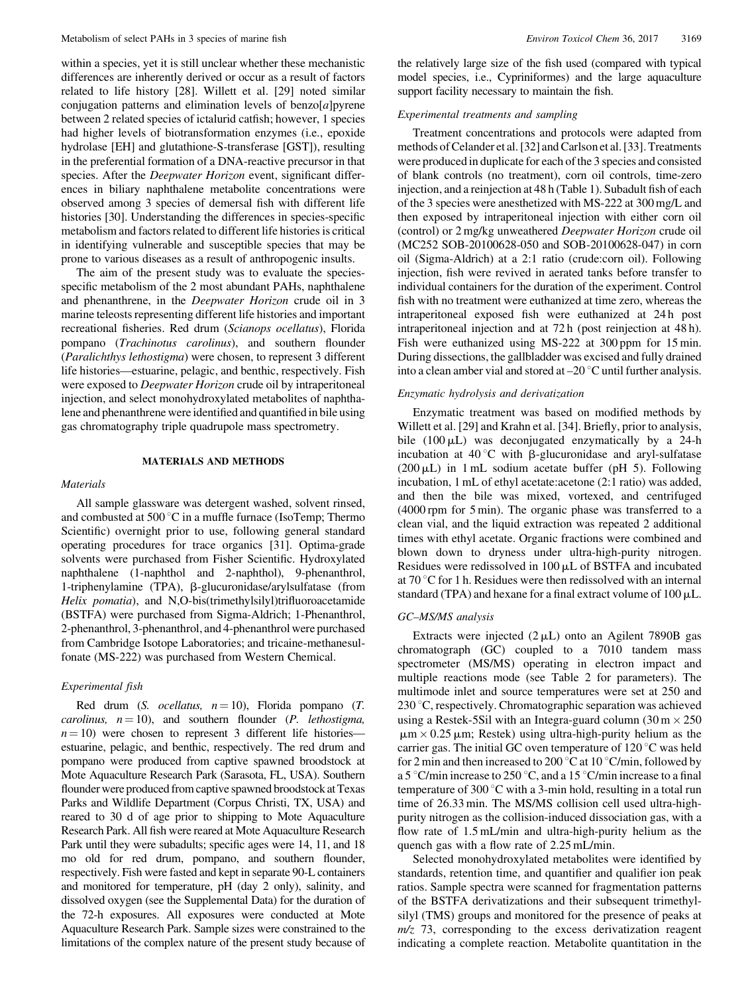within a species, yet it is still unclear whether these mechanistic differences are inherently derived or occur as a result of factors related to life history [28]. Willett et al. [29] noted similar conjugation patterns and elimination levels of benzo $[a]$ pyrene between 2 related species of ictalurid catfish; however, 1 species had higher levels of biotransformation enzymes (i.e., epoxide hydrolase [EH] and glutathione-S-transferase [GST]), resulting in the preferential formation of a DNA-reactive precursor in that species. After the *Deepwater Horizon* event, significant differences in biliary naphthalene metabolite concentrations were observed among 3 species of demersal fish with different life histories [30]. Understanding the differences in species-specific metabolism and factors related to different life histories is critical in identifying vulnerable and susceptible species that may be prone to various diseases as a result of anthropogenic insults.

The aim of the present study was to evaluate the speciesspecific metabolism of the 2 most abundant PAHs, naphthalene and phenanthrene, in the Deepwater Horizon crude oil in 3 marine teleosts representing different life histories and important recreational fisheries. Red drum (Scianops ocellatus), Florida pompano (Trachinotus carolinus), and southern flounder (Paralichthys lethostigma) were chosen, to represent 3 different life histories—estuarine, pelagic, and benthic, respectively. Fish were exposed to Deepwater Horizon crude oil by intraperitoneal injection, and select monohydroxylated metabolites of naphthalene and phenanthrene were identified and quantified in bile using gas chromatography triple quadrupole mass spectrometry.

### MATERIALS AND METHODS

# **Materials**

All sample glassware was detergent washed, solvent rinsed, and combusted at  $500\degree C$  in a muffle furnace (IsoTemp; Thermo Scientific) overnight prior to use, following general standard operating procedures for trace organics [31]. Optima-grade solvents were purchased from Fisher Scientific. Hydroxylated naphthalene (1-naphthol and 2-naphthol), 9-phenanthrol, 1-triphenylamine (TPA), b-glucuronidase/arylsulfatase (from Helix pomatia), and N,O-bis(trimethylsilyl)trifluoroacetamide (BSTFA) were purchased from Sigma-Aldrich; 1-Phenanthrol, 2-phenanthrol, 3-phenanthrol, and 4-phenanthrol were purchased from Cambridge Isotope Laboratories; and tricaine-methanesulfonate (MS-222) was purchased from Western Chemical.

# Experimental fish

Red drum (S. *ocellatus*,  $n = 10$ ), Florida pompano (T. *carolinus,*  $n = 10$ , and southern flounder (*P. lethostigma,*  $n = 10$ ) were chosen to represent 3 different life histories estuarine, pelagic, and benthic, respectively. The red drum and pompano were produced from captive spawned broodstock at Mote Aquaculture Research Park (Sarasota, FL, USA). Southern flounder were produced from captive spawned broodstock at Texas Parks and Wildlife Department (Corpus Christi, TX, USA) and reared to 30 d of age prior to shipping to Mote Aquaculture Research Park. All fish were reared at Mote Aquaculture Research Park until they were subadults; specific ages were 14, 11, and 18 mo old for red drum, pompano, and southern flounder, respectively. Fish were fasted and kept in separate 90-L containers and monitored for temperature, pH (day 2 only), salinity, and dissolved oxygen (see the Supplemental Data) for the duration of the 72-h exposures. All exposures were conducted at Mote Aquaculture Research Park. Sample sizes were constrained to the limitations of the complex nature of the present study because of the relatively large size of the fish used (compared with typical model species, i.e., Cypriniformes) and the large aquaculture support facility necessary to maintain the fish.

## Experimental treatments and sampling

Treatment concentrations and protocols were adapted from methods of Celander et al. [32] and Carlson et al. [33]. Treatments were produced in duplicate for each of the 3 species and consisted of blank controls (no treatment), corn oil controls, time-zero injection, and a reinjection at 48 h (Table 1). Subadult fish of each of the 3 species were anesthetized with MS-222 at 300 mg/L and then exposed by intraperitoneal injection with either corn oil (control) or 2 mg/kg unweathered Deepwater Horizon crude oil (MC252 SOB-20100628-050 and SOB-20100628-047) in corn oil (Sigma-Aldrich) at a 2:1 ratio (crude:corn oil). Following injection, fish were revived in aerated tanks before transfer to individual containers for the duration of the experiment. Control fish with no treatment were euthanized at time zero, whereas the intraperitoneal exposed fish were euthanized at 24h post intraperitoneal injection and at 72 h (post reinjection at 48 h). Fish were euthanized using MS-222 at 300 ppm for 15 min. During dissections, the gallbladder was excised and fully drained into a clean amber vial and stored at  $-20$  °C until further analysis.

# Enzymatic hydrolysis and derivatization

Enzymatic treatment was based on modified methods by Willett et al. [29] and Krahn et al. [34]. Briefly, prior to analysis, bile  $(100 \mu L)$  was deconjugated enzymatically by a 24-h incubation at  $40^{\circ}$ C with  $\beta$ -glucuronidase and aryl-sulfatase  $(200 \,\mu L)$  in 1 mL sodium acetate buffer (pH 5). Following incubation, 1 mL of ethyl acetate:acetone (2:1 ratio) was added, and then the bile was mixed, vortexed, and centrifuged (4000 rpm for 5 min). The organic phase was transferred to a clean vial, and the liquid extraction was repeated 2 additional times with ethyl acetate. Organic fractions were combined and blown down to dryness under ultra-high-purity nitrogen. Residues were redissolved in  $100 \mu L$  of BSTFA and incubated at 70 $\degree$ C for 1 h. Residues were then redissolved with an internal standard (TPA) and hexane for a final extract volume of  $100 \mu L$ .

# GC–MS/MS analysis

Extracts were injected  $(2 \mu L)$  onto an Agilent 7890B gas chromatograph (GC) coupled to a 7010 tandem mass spectrometer (MS/MS) operating in electron impact and multiple reactions mode (see Table 2 for parameters). The multimode inlet and source temperatures were set at 250 and  $230^{\circ}$ C, respectively. Chromatographic separation was achieved using a Restek-5Sil with an Integra-guard column  $(30 \text{ m} \times 250 \text{ m})$  $\mu$ m × 0.25  $\mu$ m; Restek) using ultra-high-purity helium as the carrier gas. The initial GC oven temperature of  $120^{\circ}$ C was held for 2 min and then increased to 200  $\degree$ C at 10  $\degree$ C/min, followed by a 5 °C/min increase to 250 °C, and a 15 °C/min increase to a final temperature of 300 $\degree$ C with a 3-min hold, resulting in a total run time of 26.33 min. The MS/MS collision cell used ultra-highpurity nitrogen as the collision-induced dissociation gas, with a flow rate of 1.5 mL/min and ultra-high-purity helium as the quench gas with a flow rate of 2.25 mL/min.

Selected monohydroxylated metabolites were identified by standards, retention time, and quantifier and qualifier ion peak ratios. Sample spectra were scanned for fragmentation patterns of the BSTFA derivatizations and their subsequent trimethylsilyl (TMS) groups and monitored for the presence of peaks at  $m/z$  73, corresponding to the excess derivatization reagent indicating a complete reaction. Metabolite quantitation in the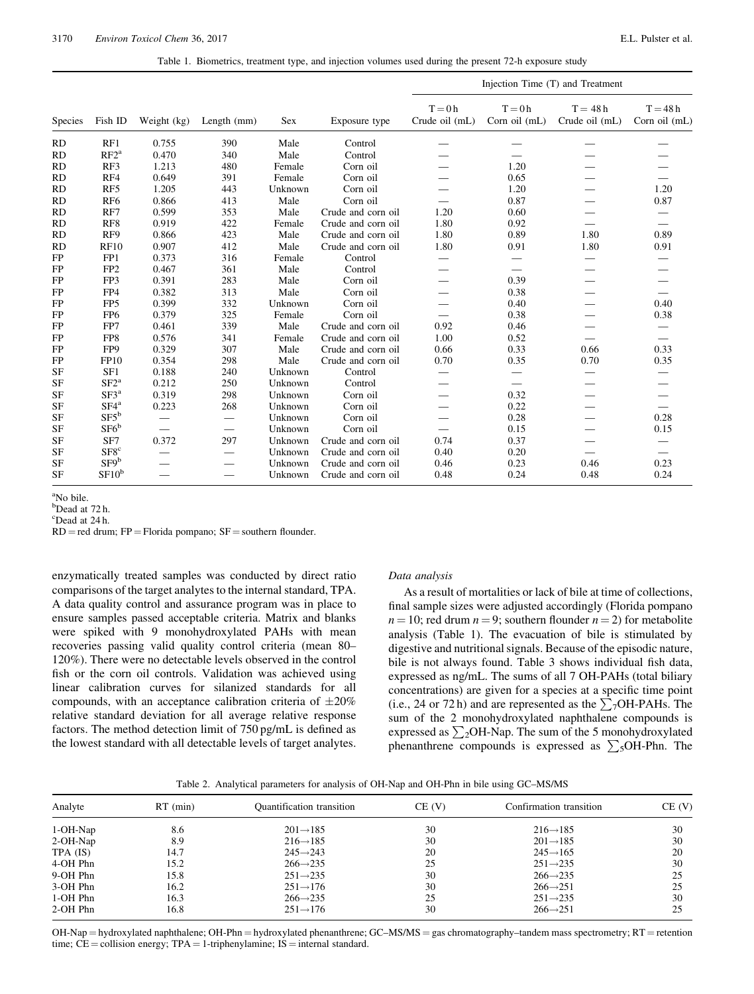|  | Table 1. Biometrics, treatment type, and injection volumes used during the present 72-h exposure study |  |  |  |
|--|--------------------------------------------------------------------------------------------------------|--|--|--|
|  |                                                                                                        |  |  |  |

|           |                   |                          |                          |            |                    |                             |                           | Injection Time (T) and Treatment |                            |
|-----------|-------------------|--------------------------|--------------------------|------------|--------------------|-----------------------------|---------------------------|----------------------------------|----------------------------|
| Species   | Fish ID           | Weight (kg)              | Length (mm)              | <b>Sex</b> | Exposure type      | $T = 0 h$<br>Crude oil (mL) | $T = 0h$<br>Corn oil (mL) | $T = 48h$<br>Crude oil (mL)      | $T = 48h$<br>Corn oil (mL) |
| RD        | RF1               | 0.755                    | 390                      | Male       | Control            |                             |                           |                                  |                            |
| <b>RD</b> | RF2 <sup>a</sup>  | 0.470                    | 340                      | Male       | Control            |                             |                           |                                  |                            |
| <b>RD</b> | RF3               | 1.213                    | 480                      | Female     | Corn oil           |                             | 1.20                      |                                  |                            |
| <b>RD</b> | RF4               | 0.649                    | 391                      | Female     | Corn oil           |                             | 0.65                      |                                  |                            |
| <b>RD</b> | RF5               | 1.205                    | 443                      | Unknown    | Corn oil           |                             | 1.20                      |                                  | 1.20                       |
| <b>RD</b> | RF <sub>6</sub>   | 0.866                    | 413                      | Male       | Corn oil           |                             | 0.87                      |                                  | 0.87                       |
| <b>RD</b> | RF7               | 0.599                    | 353                      | Male       | Crude and corn oil | 1.20                        | 0.60                      |                                  |                            |
| <b>RD</b> | RF8               | 0.919                    | 422                      | Female     | Crude and corn oil | 1.80                        | 0.92                      |                                  | $\overline{\phantom{0}}$   |
| <b>RD</b> | RF9               | 0.866                    | 423                      | Male       | Crude and corn oil | 1.80                        | 0.89                      | 1.80                             | 0.89                       |
| <b>RD</b> | <b>RF10</b>       | 0.907                    | 412                      | Male       | Crude and corn oil | 1.80                        | 0.91                      | 1.80                             | 0.91                       |
| <b>FP</b> | FP1               | 0.373                    | 316                      | Female     | Control            | $\overline{\phantom{0}}$    | $\overline{\phantom{0}}$  |                                  |                            |
| FP        | FP <sub>2</sub>   | 0.467                    | 361                      | Male       | Control            |                             |                           |                                  |                            |
| FP        | FP3               | 0.391                    | 283                      | Male       | Corn oil           |                             | 0.39                      |                                  |                            |
| FP        | FP4               | 0.382                    | 313                      | Male       | Corn oil           | $\overline{\phantom{0}}$    | 0.38                      |                                  |                            |
| FP        | FP <sub>5</sub>   | 0.399                    | 332                      | Unknown    | Corn oil           |                             | 0.40                      |                                  | 0.40                       |
| FP        | FP <sub>6</sub>   | 0.379                    | 325                      | Female     | Corn oil           |                             | 0.38                      |                                  | 0.38                       |
| FP        | FP7               | 0.461                    | 339                      | Male       | Crude and corn oil | 0.92                        | 0.46                      |                                  |                            |
| FP        | FP8               | 0.576                    | 341                      | Female     | Crude and corn oil | 1.00                        | 0.52                      |                                  |                            |
| FP        | FP9               | 0.329                    | 307                      | Male       | Crude and corn oil | 0.66                        | 0.33                      | 0.66                             | 0.33                       |
| FP        | FP10              | 0.354                    | 298                      | Male       | Crude and corn oil | 0.70                        | 0.35                      | 0.70                             | 0.35                       |
| <b>SF</b> | SF1               | 0.188                    | 240                      | Unknown    | Control            |                             |                           |                                  |                            |
| <b>SF</b> | $SF2^a$           | 0.212                    | 250                      | Unknown    | Control            |                             |                           |                                  |                            |
| <b>SF</b> | S <sup>F3</sup>   | 0.319                    | 298                      | Unknown    | Corn oil           |                             | 0.32                      |                                  |                            |
| <b>SF</b> | SF4 <sup>a</sup>  | 0.223                    | 268                      | Unknown    | Corn oil           |                             | 0.22                      |                                  | $\overline{\phantom{0}}$   |
| <b>SF</b> | $SF5^b$           | $\overline{\phantom{0}}$ | $\overline{\phantom{0}}$ | Unknown    | Corn oil           |                             | 0.28                      |                                  | 0.28                       |
| <b>SF</b> | $SFG^b$           |                          | $\overline{\phantom{0}}$ | Unknown    | Corn oil           |                             | 0.15                      |                                  | 0.15                       |
| <b>SF</b> | SF7               | 0.372                    | 297                      | Unknown    | Crude and corn oil | 0.74                        | 0.37                      |                                  |                            |
| <b>SF</b> | SFS <sup>c</sup>  |                          |                          | Unknown    | Crude and corn oil | 0.40                        | 0.20                      |                                  |                            |
| <b>SF</b> | SF9 <sup>b</sup>  |                          |                          | Unknown    | Crude and corn oil | 0.46                        | 0.23                      | 0.46                             | 0.23                       |
| <b>SF</b> | SF10 <sup>b</sup> |                          |                          | Unknown    | Crude and corn oil | 0.48                        | 0.24                      | 0.48                             | 0.24                       |

a No bile.

<sup>b</sup>Dead at 72 h.

c Dead at 24 h.

 $RD = red$  drum;  $FP = Florida$  pompano;  $SF = southern$  flounder.

enzymatically treated samples was conducted by direct ratio comparisons of the target analytes to the internal standard, TPA. A data quality control and assurance program was in place to ensure samples passed acceptable criteria. Matrix and blanks were spiked with 9 monohydroxylated PAHs with mean recoveries passing valid quality control criteria (mean 80– 120%). There were no detectable levels observed in the control fish or the corn oil controls. Validation was achieved using linear calibration curves for silanized standards for all compounds, with an acceptance calibration criteria of  $\pm 20\%$ relative standard deviation for all average relative response factors. The method detection limit of 750 pg/mL is defined as the lowest standard with all detectable levels of target analytes.

# Data analysis

As a result of mortalities or lack of bile at time of collections, final sample sizes were adjusted accordingly (Florida pompano  $n = 10$ ; red drum  $n = 9$ ; southern flounder  $n = 2$ ) for metabolite analysis (Table 1). The evacuation of bile is stimulated by digestive and nutritional signals. Because of the episodic nature, bile is not always found. Table 3 shows individual fish data, expressed as ng/mL. The sums of all 7 OH-PAHs (total biliary concentrations) are given for a species at a specific time point (i.e., 24 or 72 h) and are represented as the  $\sum_{7}$ OH-PAHs. The sum of the 2 monohydroxylated naphthalene compounds is expressed as  $\sum_{2}$ OH-Nap. The sum of the 5 monohydroxylated phenanthrene compounds is expressed as  $\sum_{5}$ OH-Phn. The

Table 2. Analytical parameters for analysis of OH-Nap and OH-Phn in bile using GC–MS/MS

| Analyte  | $RT$ (min) | <b>Quantification</b> transition | $CE$ $(V)$ | Confirmation transition | CE(V) |
|----------|------------|----------------------------------|------------|-------------------------|-------|
| 1-OH-Nap | 8.6        | $201 \rightarrow 185$            | 30         | $216 \rightarrow 185$   | 30    |
| 2-OH-Nap | 8.9        | $216 \rightarrow 185$            | 30         | $201 \rightarrow 185$   | 30    |
| TPA (IS) | 14.7       | $245 \rightarrow 243$            | 20         | $245 \rightarrow 165$   | 20    |
| 4-OH Phn | 15.2       | $266 \rightarrow 235$            | 25         | $251 \rightarrow 235$   | 30    |
| 9-OH Phn | 15.8       | $251 \rightarrow 235$            | 30         | $266 \rightarrow 235$   | 25    |
| 3-OH Phn | 16.2       | $251 \rightarrow 176$            | 30         | $266 \rightarrow 251$   | 25    |
| 1-OH Phn | 16.3       | $266 \rightarrow 235$            | 25         | $251 \rightarrow 235$   | 30    |
| 2-OH Phn | 16.8       | $251 \rightarrow 176$            | 30         | $266 \rightarrow 251$   | 25    |

OH-Nap = hydroxylated naphthalene; OH-Phn = hydroxylated phenanthrene; GC-MS/MS = gas chromatography-tandem mass spectrometry; RT = retention time;  $CE =$  collision energy;  $TPA = 1$ -triphenylamine;  $IS =$  internal standard.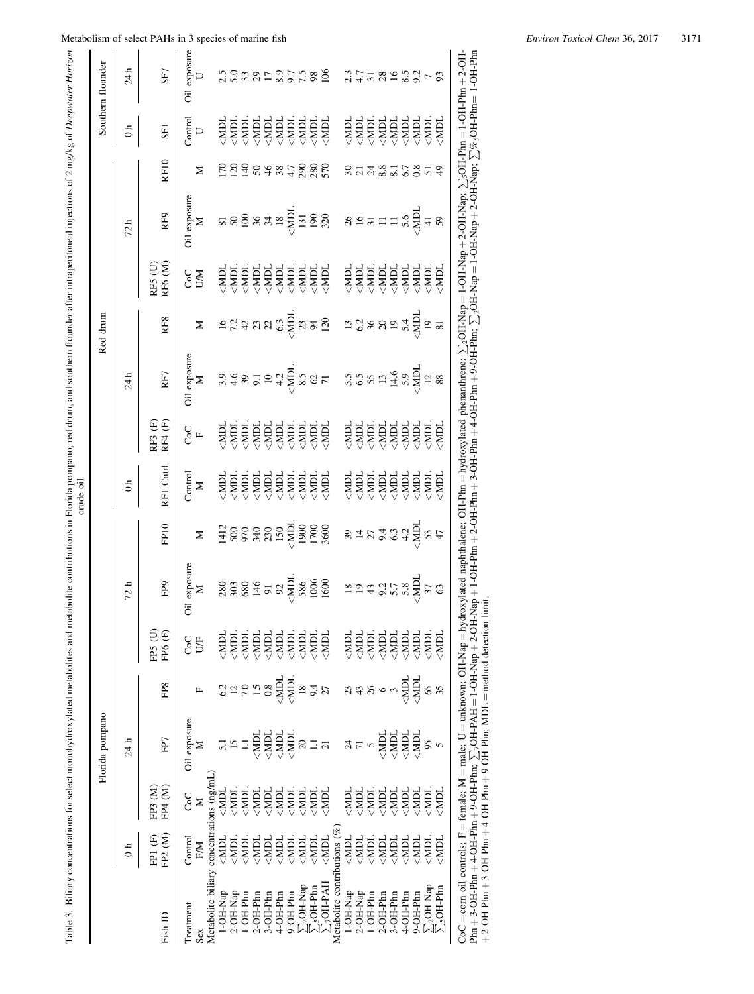|                                                                                                                                                                                                                                                                                                                                                                                                                                                                                                                                                                                                                                                                                                                                                                                                                                                                                                                               |                                                | Florida pompano |                  |                               |              |                                                                       |                          |                    |                                                                                                | Red drum                                                  |                    |                                                                                                                                                                                                                                                                                                                                                                                                                                                               |                   |                                                               | Southern flounder |
|-------------------------------------------------------------------------------------------------------------------------------------------------------------------------------------------------------------------------------------------------------------------------------------------------------------------------------------------------------------------------------------------------------------------------------------------------------------------------------------------------------------------------------------------------------------------------------------------------------------------------------------------------------------------------------------------------------------------------------------------------------------------------------------------------------------------------------------------------------------------------------------------------------------------------------|------------------------------------------------|-----------------|------------------|-------------------------------|--------------|-----------------------------------------------------------------------|--------------------------|--------------------|------------------------------------------------------------------------------------------------|-----------------------------------------------------------|--------------------|---------------------------------------------------------------------------------------------------------------------------------------------------------------------------------------------------------------------------------------------------------------------------------------------------------------------------------------------------------------------------------------------------------------------------------------------------------------|-------------------|---------------------------------------------------------------|-------------------|
| $\frac{1}{2}$                                                                                                                                                                                                                                                                                                                                                                                                                                                                                                                                                                                                                                                                                                                                                                                                                                                                                                                 |                                                | 24 h            |                  |                               | 72 h         |                                                                       | $\mathbf{d}$             |                    | 24h                                                                                            |                                                           |                    | 72h                                                                                                                                                                                                                                                                                                                                                                                                                                                           |                   | 0h                                                            | 24h               |
| FP2 (M)<br>FP1 (F)                                                                                                                                                                                                                                                                                                                                                                                                                                                                                                                                                                                                                                                                                                                                                                                                                                                                                                            | FP4 (M)<br>FP3 (M)                             | FP7             | FP8              | FPS (U)<br>FP6 <sup>(F)</sup> | <b>FP9</b>   | FP <sub>10</sub>                                                      | RF1 Cntrl                | RF3 (F)<br>RF4 (F) | RF7                                                                                            | RF8                                                       | RF5 (U)<br>RF6 (M) | <b>RF9</b>                                                                                                                                                                                                                                                                                                                                                                                                                                                    | RF10              | SF <sub>1</sub>                                               | SF7               |
| Control                                                                                                                                                                                                                                                                                                                                                                                                                                                                                                                                                                                                                                                                                                                                                                                                                                                                                                                       | CoC                                            | Oil exposure    |                  | CoC                           | Oil exposure |                                                                       | $\frac{1}{M}$            | ე<br>ნ⊾            | Oil exposure                                                                                   |                                                           | <b>SS</b>          | Oil exposure $\mathbf M$                                                                                                                                                                                                                                                                                                                                                                                                                                      |                   | $\begin{array}{c} \textrm{Control} \\ \textrm{U} \end{array}$ | Oil exposure      |
| F/M                                                                                                                                                                                                                                                                                                                                                                                                                                                                                                                                                                                                                                                                                                                                                                                                                                                                                                                           | Metabolite biliary concentrations (ng/mL)<br>Σ | Σ               | щ                | <b>S</b>                      | $\geq$       | Σ                                                                     |                          |                    | $\geq$                                                                                         | Σ                                                         |                    |                                                                                                                                                                                                                                                                                                                                                                                                                                                               | Σ                 |                                                               |                   |
| MPL                                                                                                                                                                                                                                                                                                                                                                                                                                                                                                                                                                                                                                                                                                                                                                                                                                                                                                                           | $NDL$                                          | 5.1             |                  | Idik>                         |              |                                                                       |                          |                    |                                                                                                |                                                           |                    |                                                                                                                                                                                                                                                                                                                                                                                                                                                               |                   |                                                               |                   |
| MPL                                                                                                                                                                                                                                                                                                                                                                                                                                                                                                                                                                                                                                                                                                                                                                                                                                                                                                                           | $MDL$                                          | $\overline{15}$ | 6.2              | <b>IGIN&gt;</b>               |              |                                                                       |                          |                    |                                                                                                |                                                           |                    |                                                                                                                                                                                                                                                                                                                                                                                                                                                               |                   |                                                               |                   |
| <md1< td=""><td>领导</td><td><math display="inline">\Xi</math></td><td></td><td></td><td></td><td></td><td></td><td><u>着音音音音音音音</u></td><td></td><td></td><td></td><td><math>\overline{\mathbf{z}}</math> <math>\overline{\mathbf{z}}</math> <math>\overline{\mathbf{z}}</math> <math>\overline{\mathbf{z}}</math> <math>\overline{\mathbf{z}}</math> <math>\overline{\mathbf{z}}</math> <math>\overline{\mathbf{z}}</math> <math>\overline{\mathbf{z}}</math> <math>\overline{\mathbf{z}}</math> <math>\overline{\mathbf{z}}</math> <math>\overline{\mathbf{z}}</math> <math>\overline{\mathbf{z}}</math> <math>\overline{\mathbf{z}}</math> <math>\overline{\mathbf{z}}</math> <math>\overline{\mathbf{z}}</math> <math>\overline{\mathbf{z}}</math> <math>\overline{\mathbf{z}}</math> <math>\overline{\mathbf{z}}</math> <math>\overline{\</math></td><td>ESSE8\$ #</td><td><u>着音音音音音音音</u></td><td>scaanscraan</td></md1<> | 领导                                             | $\Xi$           |                  |                               |              |                                                                       |                          | <u>着音音音音音音音</u>    |                                                                                                |                                                           |                    | $\overline{\mathbf{z}}$ $\overline{\mathbf{z}}$ $\overline{\mathbf{z}}$ $\overline{\mathbf{z}}$ $\overline{\mathbf{z}}$ $\overline{\mathbf{z}}$ $\overline{\mathbf{z}}$ $\overline{\mathbf{z}}$ $\overline{\mathbf{z}}$ $\overline{\mathbf{z}}$ $\overline{\mathbf{z}}$ $\overline{\mathbf{z}}$ $\overline{\mathbf{z}}$ $\overline{\mathbf{z}}$ $\overline{\mathbf{z}}$ $\overline{\mathbf{z}}$ $\overline{\mathbf{z}}$ $\overline{\mathbf{z}}$ $\overline{\$ | ESSE8\$ #         | <u>着音音音音音音音</u>                                               | scaanscraan       |
| <md1< td=""><td></td><td></td><td></td><td></td><td></td><td></td><td></td><td></td><td></td><td></td><td></td><td></td><td></td><td></td><td></td></md1<>                                                                                                                                                                                                                                                                                                                                                                                                                                                                                                                                                                                                                                                                                                                                                                    |                                                |                 |                  |                               |              |                                                                       |                          |                    |                                                                                                |                                                           |                    |                                                                                                                                                                                                                                                                                                                                                                                                                                                               |                   |                                                               |                   |
| <mdl< td=""><td><math>\leq</math>MDL</td><td></td><td><math>7.98</math><br/><math>-1.8</math></td><td></td><td></td><td></td><td></td><td></td><td></td><td></td><td></td><td></td><td></td><td></td><td></td></mdl<>                                                                                                                                                                                                                                                                                                                                                                                                                                                                                                                                                                                                                                                                                                         | $\leq$ MDL                                     |                 | $7.98$<br>$-1.8$ |                               |              |                                                                       |                          |                    |                                                                                                |                                                           |                    |                                                                                                                                                                                                                                                                                                                                                                                                                                                               |                   |                                                               |                   |
| <md1< td=""><td><math display="inline">&lt;</math> MDL</td><td></td><td>KW&gt;</td><td></td><td></td><td></td><td></td><td></td><td></td><td></td><td></td><td></td><td></td><td></td><td></td></md1<>                                                                                                                                                                                                                                                                                                                                                                                                                                                                                                                                                                                                                                                                                                                        | $<$ MDL                                        |                 | KW>              |                               |              |                                                                       |                          |                    |                                                                                                |                                                           |                    |                                                                                                                                                                                                                                                                                                                                                                                                                                                               |                   |                                                               |                   |
| <md1< td=""><td>MDI</td><td></td><td>KNS</td><td></td><td></td><td></td><td></td><td></td><td></td><td></td><td></td><td></td><td></td><td></td><td></td></md1<>                                                                                                                                                                                                                                                                                                                                                                                                                                                                                                                                                                                                                                                                                                                                                              | MDI                                            |                 | KNS              |                               |              |                                                                       |                          |                    |                                                                                                |                                                           |                    |                                                                                                                                                                                                                                                                                                                                                                                                                                                               |                   |                                                               |                   |
| MPL                                                                                                                                                                                                                                                                                                                                                                                                                                                                                                                                                                                                                                                                                                                                                                                                                                                                                                                           | MDI                                            |                 | $\overline{18}$  |                               |              |                                                                       |                          |                    |                                                                                                |                                                           |                    |                                                                                                                                                                                                                                                                                                                                                                                                                                                               | 280<br>280<br>570 |                                                               |                   |
| <mdl< td=""><td><math>\leq MDI</math></td><td><math>\Xi</math></td><td>9.4</td><td></td><td></td><td></td><td></td><td></td><td></td><td></td><td></td><td></td><td></td><td></td><td></td></mdl<>                                                                                                                                                                                                                                                                                                                                                                                                                                                                                                                                                                                                                                                                                                                            | $\leq MDI$                                     | $\Xi$           | 9.4              |                               |              |                                                                       |                          |                    |                                                                                                |                                                           |                    |                                                                                                                                                                                                                                                                                                                                                                                                                                                               |                   |                                                               |                   |
| $<$ MDL $\,$                                                                                                                                                                                                                                                                                                                                                                                                                                                                                                                                                                                                                                                                                                                                                                                                                                                                                                                  | $\leq MDI$                                     | $\overline{21}$ | 27               |                               |              | $1412$<br>$500$<br>$979$<br>$370$<br>$150$<br>$190$<br>$190$<br>$100$ | <u>着有有有有有有</u><br>第2022年 |                    | $3.483724$ $\frac{1}{2}$ $\frac{1}{2}$ $\frac{3}{2}$ $\frac{3}{2}$ $\frac{1}{2}$ $\frac{1}{2}$ | $52.7$ $\approx$ $12.7$ $\approx$ $12.7$ $\approx$ $12.7$ |                    |                                                                                                                                                                                                                                                                                                                                                                                                                                                               |                   |                                                               |                   |
| Metabolite contributions (%                                                                                                                                                                                                                                                                                                                                                                                                                                                                                                                                                                                                                                                                                                                                                                                                                                                                                                   |                                                |                 |                  |                               |              |                                                                       |                          |                    |                                                                                                |                                                           |                    |                                                                                                                                                                                                                                                                                                                                                                                                                                                               |                   |                                                               |                   |
| $<$ MDL                                                                                                                                                                                                                                                                                                                                                                                                                                                                                                                                                                                                                                                                                                                                                                                                                                                                                                                       |                                                |                 |                  |                               | 8999778      | 8722727                                                               |                          |                    | $5.585$<br>5.5 $\frac{4}{5}$<br>5.9 $\frac{1}{2}$<br>5.2 $\frac{1}{2}$                         | 13.88897778985                                            |                    | 89777767778                                                                                                                                                                                                                                                                                                                                                                                                                                                   |                   | <b>ERDERER<br/>ERDERERER</b><br>ERDERERER                     |                   |
| $\leq$ MDL                                                                                                                                                                                                                                                                                                                                                                                                                                                                                                                                                                                                                                                                                                                                                                                                                                                                                                                    |                                                | 775             | 348              |                               |              |                                                                       |                          |                    |                                                                                                |                                                           |                    |                                                                                                                                                                                                                                                                                                                                                                                                                                                               |                   |                                                               |                   |
| 御                                                                                                                                                                                                                                                                                                                                                                                                                                                                                                                                                                                                                                                                                                                                                                                                                                                                                                                             |                                                |                 |                  |                               |              |                                                                       |                          |                    |                                                                                                |                                                           |                    |                                                                                                                                                                                                                                                                                                                                                                                                                                                               |                   |                                                               |                   |
|                                                                                                                                                                                                                                                                                                                                                                                                                                                                                                                                                                                                                                                                                                                                                                                                                                                                                                                               |                                                | $\leq MDI$      | $\circ$          |                               |              |                                                                       |                          |                    |                                                                                                |                                                           |                    |                                                                                                                                                                                                                                                                                                                                                                                                                                                               |                   |                                                               |                   |
| $MDL$                                                                                                                                                                                                                                                                                                                                                                                                                                                                                                                                                                                                                                                                                                                                                                                                                                                                                                                         |                                                | 400             | $\tilde{\xi}$    |                               |              |                                                                       |                          |                    |                                                                                                |                                                           |                    |                                                                                                                                                                                                                                                                                                                                                                                                                                                               |                   |                                                               |                   |
| <mdi< td=""><td><math>&lt;</math>MDL</td><td></td><td><b>ICIN&gt;</b></td><td></td><td></td><td></td><td></td><td></td><td></td><td></td><td></td><td></td><td></td><td></td><td></td></mdi<>                                                                                                                                                                                                                                                                                                                                                                                                                                                                                                                                                                                                                                                                                                                                 | $<$ MDL                                        |                 | <b>ICIN&gt;</b>  |                               |              |                                                                       |                          |                    |                                                                                                |                                                           |                    |                                                                                                                                                                                                                                                                                                                                                                                                                                                               |                   |                                                               |                   |
| MDI                                                                                                                                                                                                                                                                                                                                                                                                                                                                                                                                                                                                                                                                                                                                                                                                                                                                                                                           | $<$ MDL                                        | $\leq MDI$      | <b>KIN&gt;</b>   | <b>NDI</b>                    |              |                                                                       |                          |                    |                                                                                                |                                                           |                    |                                                                                                                                                                                                                                                                                                                                                                                                                                                               | sa sa sa cens     |                                                               | 3.7778993768      |
| <md1< td=""><td><math>\leq MDL</math></td><td><math>\frac{5}{5}</math></td><td><math>\frac{65}{25}</math></td><td><b>NBL</b></td><td></td><td></td><td></td><td></td><td></td><td></td><td></td><td></td><td></td><td></td><td></td></md1<>                                                                                                                                                                                                                                                                                                                                                                                                                                                                                                                                                                                                                                                                                   | $\leq MDL$                                     | $\frac{5}{5}$   | $\frac{65}{25}$  | <b>NBL</b>                    |              |                                                                       |                          |                    |                                                                                                |                                                           |                    |                                                                                                                                                                                                                                                                                                                                                                                                                                                               |                   |                                                               |                   |
| <b>TOW&gt;</b>                                                                                                                                                                                                                                                                                                                                                                                                                                                                                                                                                                                                                                                                                                                                                                                                                                                                                                                | MDI                                            |                 |                  |                               |              |                                                                       |                          |                    |                                                                                                |                                                           |                    |                                                                                                                                                                                                                                                                                                                                                                                                                                                               |                   |                                                               |                   |

∥<br>Co corn oil controls; F female; M male; U unknown; OH-Nap hydroxylated naphthalene; OH-Phn hydroxylated phenanthrene;  $\sum_2$ OH-Nap = 1-OH-Nap  $\boldsymbol{+}$  2-OH-Nap;  $\sum_{5}$ OH-Phn =  $= 1-OH-Phn$  $+2-0<sub>H</sub>$ Phn þ 3-OH-Phn  $^+$  4-OH-Phn  $^+$  9-OH-Phn;  $\Sigma$ 70H-PAH 1-OH-Nap  $^+$  2-OH-Nap  $^+$  $+1-$ OH-Phn  $^+$  $+2-0H$ -Phn  $^+$  3-OH-Phn  $^+$  4-OH-Phn  $^+$  9-OH-Phn;  $\sum_2$ OH-Nap  $=$  1-OH-Nap  $^+$  2-OH-Nap;  $\triangleright$  $\%_{5}\mathrm{OH-Phn}$  $= 1-OH-P$ hn  $^+$  $+2-0H$ -Phn  $^+$  $+3-0H$ -Phn  $^+$  4-OH-Phn  $^+$  9-OH-Phn; MDL method detection limit.

# Metabolism of select PAHs in 3 species of marine fish  $\frac{1}{5}$  Environ Toxicol Chem 36, 2017 3171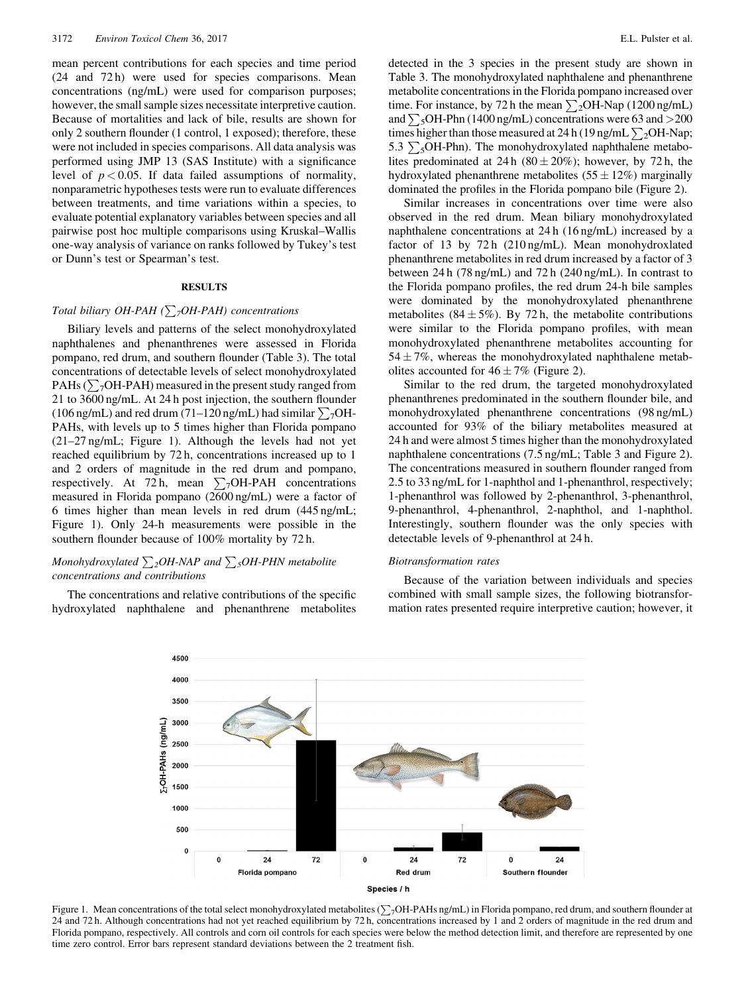mean percent contributions for each species and time period (24 and 72 h) were used for species comparisons. Mean concentrations (ng/mL) were used for comparison purposes; however, the small sample sizes necessitate interpretive caution. Because of mortalities and lack of bile, results are shown for only 2 southern flounder (1 control, 1 exposed); therefore, these were not included in species comparisons. All data analysis was performed using JMP 13 (SAS Institute) with a significance level of  $p < 0.05$ . If data failed assumptions of normality, nonparametric hypotheses tests were run to evaluate differences between treatments, and time variations within a species, to evaluate potential explanatory variables between species and all pairwise post hoc multiple comparisons using Kruskal–Wallis one-way analysis of variance on ranks followed by Tukey's test or Dunn's test or Spearman's test.

# **RESULTS**

### Total biliary OH-PAH ( $\sum_{7}$ OH-PAH) concentrations

Biliary levels and patterns of the select monohydroxylated naphthalenes and phenanthrenes were assessed in Florida pompano, red drum, and southern flounder (Table 3). The total concentrations of detectable levels of select monohydroxylated PAHs ( $\sum_{7}$ OH-PAH) measured in the present study ranged from 21 to 3600 ng/mL. At 24 h post injection, the southern flounder (106 ng/mL) and red drum (71–120 ng/mL) had similar  $\sum_{7}$ OH-PAHs, with levels up to 5 times higher than Florida pompano (21–27 ng/mL; Figure 1). Although the levels had not yet reached equilibrium by 72 h, concentrations increased up to 1 and 2 orders of magnitude in the red drum and pompano, respectively. At 72 h, mean  $\sum_7$ OH-PAH concentrations measured in Florida pompano (2600 ng/mL) were a factor of 6 times higher than mean levels in red drum (445 ng/mL; Figure 1). Only 24-h measurements were possible in the southern flounder because of 100% mortality by 72 h.

# Monohydroxylated  $\sum_{2}OH-NAP$  and  $\sum_{5}OH-PHN$  metabolite concentrations and contributions

The concentrations and relative contributions of the specific hydroxylated naphthalene and phenanthrene metabolites

detected in the 3 species in the present study are shown in Table 3. The monohydroxylated naphthalene and phenanthrene metabolite concentrations in the Florida pompano increased over time. For instance, by 72 h the mean  $\sum_{2}$ OH-Nap (1200 ng/mL) and  $\sum_{5}$ OH-Phn (1400 ng/mL) concentrations were 63 and >200 times higher than those measured at 24 h (19 ng/mL $\sum_2$ OH-Nap; 5.3  $\sum_{5}$ OH-Phn). The monohydroxylated naphthalene metabolites predominated at 24 h  $(80 \pm 20\%)$ ; however, by 72 h, the hydroxylated phenanthrene metabolites  $(55 \pm 12\%)$  marginally dominated the profiles in the Florida pompano bile (Figure 2).

Similar increases in concentrations over time were also observed in the red drum. Mean biliary monohydroxylated naphthalene concentrations at 24 h (16 ng/mL) increased by a factor of 13 by 72 h (210 ng/mL). Mean monohydroxlated phenanthrene metabolites in red drum increased by a factor of 3 between 24 h (78 ng/mL) and 72 h (240 ng/mL). In contrast to the Florida pompano profiles, the red drum 24-h bile samples were dominated by the monohydroxylated phenanthrene metabolites (84 $\pm$ 5%). By 72 h, the metabolite contributions were similar to the Florida pompano profiles, with mean monohydroxylated phenanthrene metabolites accounting for 54  $\pm$  7%, whereas the monohydroxylated naphthalene metabolites accounted for  $46 \pm 7\%$  (Figure 2).

Similar to the red drum, the targeted monohydroxylated phenanthrenes predominated in the southern flounder bile, and monohydroxylated phenanthrene concentrations (98 ng/mL) accounted for 93% of the biliary metabolites measured at 24 h and were almost 5 times higher than the monohydroxylated naphthalene concentrations (7.5 ng/mL; Table 3 and Figure 2). The concentrations measured in southern flounder ranged from 2.5 to 33 ng/mL for 1-naphthol and 1-phenanthrol, respectively; 1-phenanthrol was followed by 2-phenanthrol, 3-phenanthrol, 9-phenanthrol, 4-phenanthrol, 2-naphthol, and 1-naphthol. Interestingly, southern flounder was the only species with detectable levels of 9-phenanthrol at 24 h.

### Biotransformation rates

Because of the variation between individuals and species combined with small sample sizes, the following biotransformation rates presented require interpretive caution; however, it



Figure 1. Mean concentrations of the total select monohydroxylated metabolites  $(\sum_{i}$ OH-PAHs ng/mL) in Florida pompano, red drum, and southern flounder at 24 and 72 h. Although concentrations had not yet reached equilibrium by 72 h, concentrations increased by 1 and 2 orders of magnitude in the red drum and Florida pompano, respectively. All controls and corn oil controls for each species were below the method detection limit, and therefore are represented by one time zero control. Error bars represent standard deviations between the 2 treatment fish.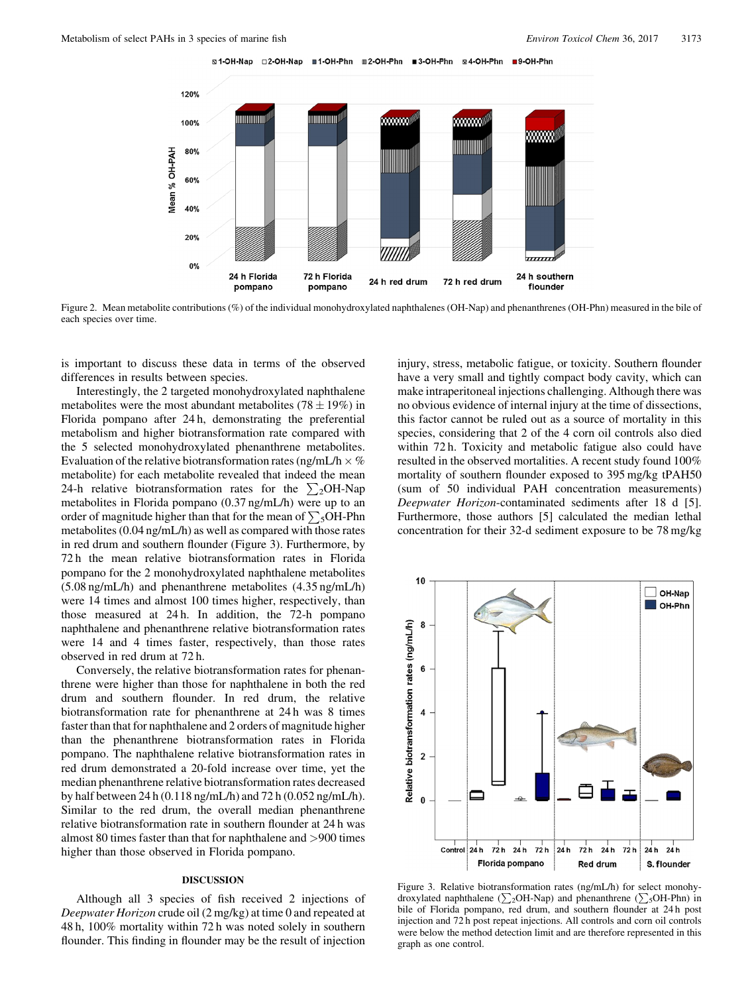S1-OH-Nap □2-OH-Nap ■1-OH-Phn Ⅲ2-OH-Phn ■3-OH-Phn ⊠4-OH-Phn ■9-OH-Phn



Figure 2. Mean metabolite contributions (%) of the individual monohydroxylated naphthalenes (OH-Nap) and phenanthrenes (OH-Phn) measured in the bile of each species over time.

is important to discuss these data in terms of the observed differences in results between species.

Interestingly, the 2 targeted monohydroxylated naphthalene metabolites were the most abundant metabolites (78  $\pm$  19%) in Florida pompano after 24 h, demonstrating the preferential metabolism and higher biotransformation rate compared with the 5 selected monohydroxylated phenanthrene metabolites. Evaluation of the relative biotransformation rates (ng/mL/h  $\times$  % metabolite) for each metabolite revealed that indeed the mean 24-h relative biotransformation rates for the  $\sum_{2}$ OH-Nap metabolites in Florida pompano (0.37 ng/mL/h) were up to an order of magnitude higher than that for the mean of  $\sum_{5}$ OH-Phn metabolites (0.04 ng/mL/h) as well as compared with those rates in red drum and southern flounder (Figure 3). Furthermore, by 72 h the mean relative biotransformation rates in Florida pompano for the 2 monohydroxylated naphthalene metabolites (5.08 ng/mL/h) and phenanthrene metabolites (4.35 ng/mL/h) were 14 times and almost 100 times higher, respectively, than those measured at 24 h. In addition, the 72-h pompano naphthalene and phenanthrene relative biotransformation rates were 14 and 4 times faster, respectively, than those rates observed in red drum at 72 h.

Conversely, the relative biotransformation rates for phenanthrene were higher than those for naphthalene in both the red drum and southern flounder. In red drum, the relative biotransformation rate for phenanthrene at 24 h was 8 times faster than that for naphthalene and 2 orders of magnitude higher than the phenanthrene biotransformation rates in Florida pompano. The naphthalene relative biotransformation rates in red drum demonstrated a 20-fold increase over time, yet the median phenanthrene relative biotransformation rates decreased by half between 24 h (0.118 ng/mL/h) and 72 h (0.052 ng/mL/h). Similar to the red drum, the overall median phenanthrene relative biotransformation rate in southern flounder at 24 h was almost 80 times faster than that for naphthalene and >900 times higher than those observed in Florida pompano.

# DISCUSSION

Although all 3 species of fish received 2 injections of Deepwater Horizon crude oil (2 mg/kg) at time 0 and repeated at 48 h, 100% mortality within 72 h was noted solely in southern flounder. This finding in flounder may be the result of injection

injury, stress, metabolic fatigue, or toxicity. Southern flounder have a very small and tightly compact body cavity, which can make intraperitoneal injections challenging. Although there was no obvious evidence of internal injury at the time of dissections, this factor cannot be ruled out as a source of mortality in this species, considering that 2 of the 4 corn oil controls also died within 72 h. Toxicity and metabolic fatigue also could have resulted in the observed mortalities. A recent study found 100% mortality of southern flounder exposed to 395 mg/kg tPAH50 (sum of 50 individual PAH concentration measurements) Deepwater Horizon-contaminated sediments after 18 d [5]. Furthermore, those authors [5] calculated the median lethal concentration for their 32-d sediment exposure to be 78 mg/kg



Figure 3. Relative biotransformation rates (ng/mL/h) for select monohydroxylated naphthalene ( $\sum_{2}$ OH-Nap) and phenanthrene ( $\sum_{5}$ OH-Phn) in bile of Florida pompano, red drum, and southern flounder at 24 h post injection and 72 h post repeat injections. All controls and corn oil controls were below the method detection limit and are therefore represented in this graph as one control.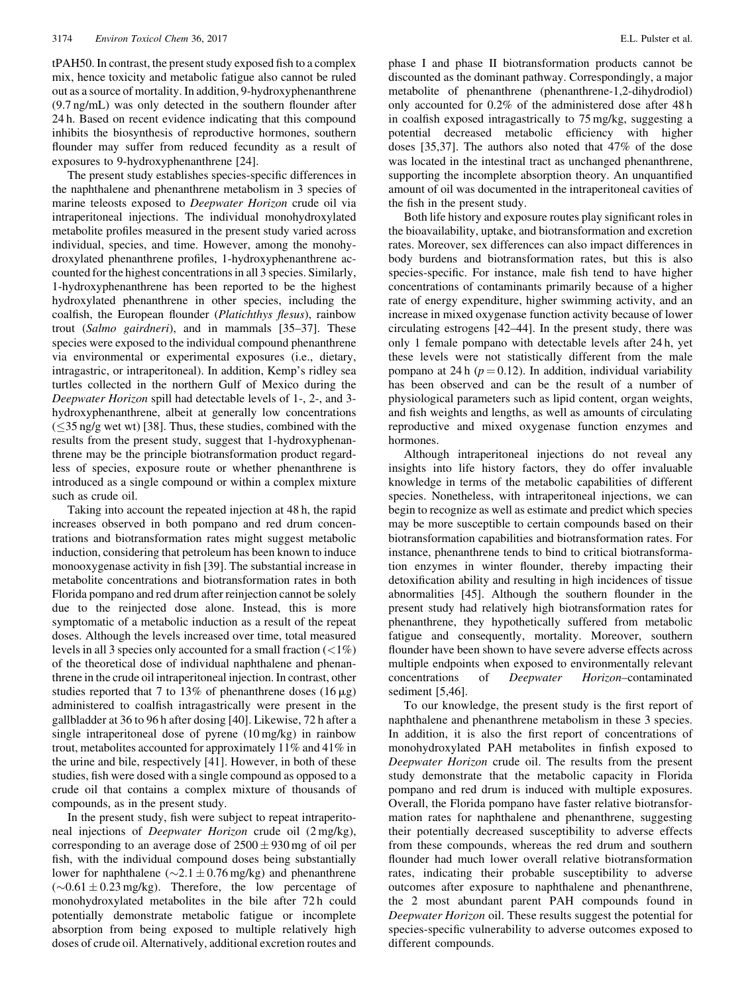tPAH50. In contrast, the present study exposed fish to a complex mix, hence toxicity and metabolic fatigue also cannot be ruled out as a source of mortality. In addition, 9-hydroxyphenanthrene (9.7 ng/mL) was only detected in the southern flounder after 24 h. Based on recent evidence indicating that this compound inhibits the biosynthesis of reproductive hormones, southern flounder may suffer from reduced fecundity as a result of exposures to 9-hydroxyphenanthrene [24].

The present study establishes species-specific differences in the naphthalene and phenanthrene metabolism in 3 species of marine teleosts exposed to Deepwater Horizon crude oil via intraperitoneal injections. The individual monohydroxylated metabolite profiles measured in the present study varied across individual, species, and time. However, among the monohydroxylated phenanthrene profiles, 1-hydroxyphenanthrene accounted for the highest concentrations in all 3 species. Similarly, 1-hydroxyphenanthrene has been reported to be the highest hydroxylated phenanthrene in other species, including the coalfish, the European flounder (Platichthys flesus), rainbow trout (Salmo gairdneri), and in mammals [35–37]. These species were exposed to the individual compound phenanthrene via environmental or experimental exposures (i.e., dietary, intragastric, or intraperitoneal). In addition, Kemp's ridley sea turtles collected in the northern Gulf of Mexico during the Deepwater Horizon spill had detectable levels of 1-, 2-, and 3 hydroxyphenanthrene, albeit at generally low concentrations  $(\leq$ 35 ng/g wet wt) [38]. Thus, these studies, combined with the results from the present study, suggest that 1-hydroxyphenanthrene may be the principle biotransformation product regardless of species, exposure route or whether phenanthrene is introduced as a single compound or within a complex mixture such as crude oil.

Taking into account the repeated injection at 48 h, the rapid increases observed in both pompano and red drum concentrations and biotransformation rates might suggest metabolic induction, considering that petroleum has been known to induce monooxygenase activity in fish [39]. The substantial increase in metabolite concentrations and biotransformation rates in both Florida pompano and red drum after reinjection cannot be solely due to the reinjected dose alone. Instead, this is more symptomatic of a metabolic induction as a result of the repeat doses. Although the levels increased over time, total measured levels in all 3 species only accounted for a small fraction  $\left( \langle 1\% \rangle \right)$ of the theoretical dose of individual naphthalene and phenanthrene in the crude oil intraperitoneal injection. In contrast, other studies reported that 7 to 13% of phenanthrene doses  $(16 \mu g)$ administered to coalfish intragastrically were present in the gallbladder at 36 to 96 h after dosing [40]. Likewise, 72 h after a single intraperitoneal dose of pyrene (10 mg/kg) in rainbow trout, metabolites accounted for approximately 11% and 41% in the urine and bile, respectively [41]. However, in both of these studies, fish were dosed with a single compound as opposed to a crude oil that contains a complex mixture of thousands of compounds, as in the present study.

In the present study, fish were subject to repeat intraperitoneal injections of Deepwater Horizon crude oil (2 mg/kg), corresponding to an average dose of  $2500 \pm 930$  mg of oil per fish, with the individual compound doses being substantially lower for naphthalene ( $\sim$ 2.1  $\pm$  0.76 mg/kg) and phenanthrene  $(\sim 0.61 \pm 0.23 \,\text{mg/kg})$ . Therefore, the low percentage of monohydroxylated metabolites in the bile after 72 h could potentially demonstrate metabolic fatigue or incomplete absorption from being exposed to multiple relatively high doses of crude oil. Alternatively, additional excretion routes and phase I and phase II biotransformation products cannot be discounted as the dominant pathway. Correspondingly, a major metabolite of phenanthrene (phenanthrene-1,2-dihydrodiol) only accounted for 0.2% of the administered dose after 48 h in coalfish exposed intragastrically to 75 mg/kg, suggesting a potential decreased metabolic efficiency with higher doses [35,37]. The authors also noted that 47% of the dose was located in the intestinal tract as unchanged phenanthrene, supporting the incomplete absorption theory. An unquantified amount of oil was documented in the intraperitoneal cavities of the fish in the present study.

Both life history and exposure routes play significant roles in the bioavailability, uptake, and biotransformation and excretion rates. Moreover, sex differences can also impact differences in body burdens and biotransformation rates, but this is also species-specific. For instance, male fish tend to have higher concentrations of contaminants primarily because of a higher rate of energy expenditure, higher swimming activity, and an increase in mixed oxygenase function activity because of lower circulating estrogens [42–44]. In the present study, there was only 1 female pompano with detectable levels after 24 h, yet these levels were not statistically different from the male pompano at 24 h  $(p = 0.12)$ . In addition, individual variability has been observed and can be the result of a number of physiological parameters such as lipid content, organ weights, and fish weights and lengths, as well as amounts of circulating reproductive and mixed oxygenase function enzymes and hormones.

Although intraperitoneal injections do not reveal any insights into life history factors, they do offer invaluable knowledge in terms of the metabolic capabilities of different species. Nonetheless, with intraperitoneal injections, we can begin to recognize as well as estimate and predict which species may be more susceptible to certain compounds based on their biotransformation capabilities and biotransformation rates. For instance, phenanthrene tends to bind to critical biotransformation enzymes in winter flounder, thereby impacting their detoxification ability and resulting in high incidences of tissue abnormalities [45]. Although the southern flounder in the present study had relatively high biotransformation rates for phenanthrene, they hypothetically suffered from metabolic fatigue and consequently, mortality. Moreover, southern flounder have been shown to have severe adverse effects across multiple endpoints when exposed to environmentally relevant concentrations of Deepwater Horizon–contaminated sediment [5,46].

To our knowledge, the present study is the first report of naphthalene and phenanthrene metabolism in these 3 species. In addition, it is also the first report of concentrations of monohydroxylated PAH metabolites in finfish exposed to Deepwater Horizon crude oil. The results from the present study demonstrate that the metabolic capacity in Florida pompano and red drum is induced with multiple exposures. Overall, the Florida pompano have faster relative biotransformation rates for naphthalene and phenanthrene, suggesting their potentially decreased susceptibility to adverse effects from these compounds, whereas the red drum and southern flounder had much lower overall relative biotransformation rates, indicating their probable susceptibility to adverse outcomes after exposure to naphthalene and phenanthrene, the 2 most abundant parent PAH compounds found in Deepwater Horizon oil. These results suggest the potential for species-specific vulnerability to adverse outcomes exposed to different compounds.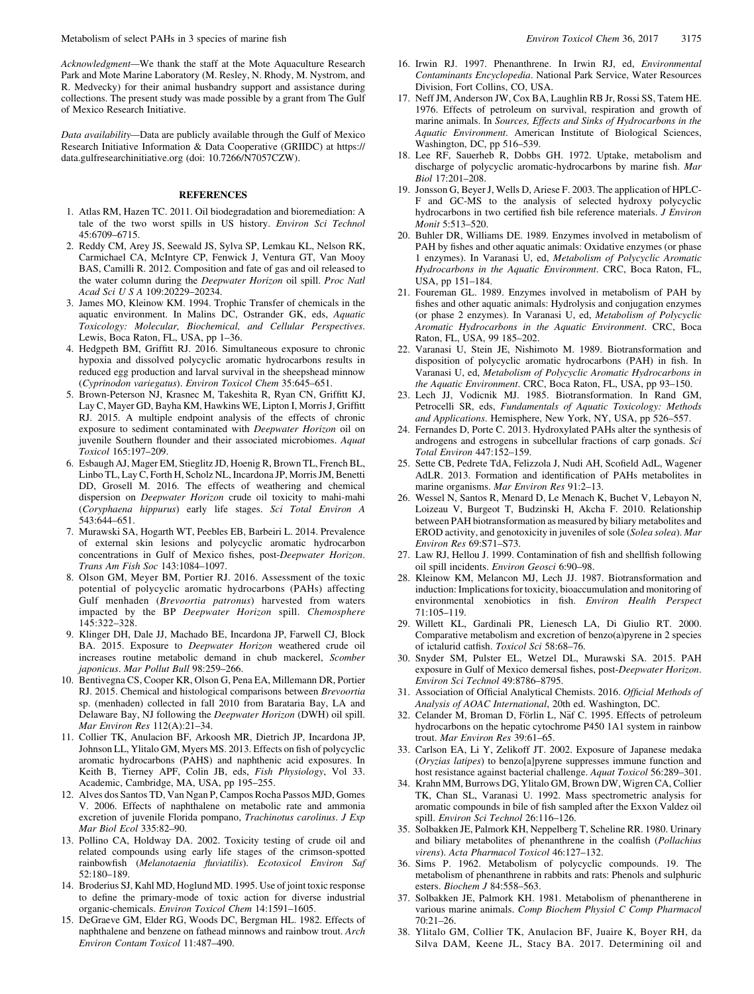Metabolism of select PAHs in 3 species of marine fish Environment Environment Chem 36, 2017 3175

Acknowledgment—We thank the staff at the Mote Aquaculture Research Park and Mote Marine Laboratory (M. Resley, N. Rhody, M. Nystrom, and R. Medvecky) for their animal husbandry support and assistance during collections. The present study was made possible by a grant from The Gulf of Mexico Research Initiative.

Data availability—Data are publicly available through the Gulf of Mexico Research Initiative Information & Data Cooperative (GRIIDC) at [https://](https://data.gulfresearchinitiative.org) [data.gulfresearchinitiative.org](https://data.gulfresearchinitiative.org) (doi: 10.7266/N7057CZW).

## **REFERENCES**

- 1. Atlas RM, Hazen TC. 2011. Oil biodegradation and bioremediation: A tale of the two worst spills in US history. Environ Sci Technol 45:6709–6715.
- 2. Reddy CM, Arey JS, Seewald JS, Sylva SP, Lemkau KL, Nelson RK, Carmichael CA, McIntyre CP, Fenwick J, Ventura GT, Van Mooy BAS, Camilli R. 2012. Composition and fate of gas and oil released to the water column during the Deepwater Horizon oil spill. Proc Natl Acad Sci U S A 109:20229–20234.
- 3. James MO, Kleinow KM. 1994. Trophic Transfer of chemicals in the aquatic environment. In Malins DC, Ostrander GK, eds, Aquatic Toxicology: Molecular, Biochemical, and Cellular Perspectives. Lewis, Boca Raton, FL, USA, pp 1–36.
- 4. Hedgpeth BM, Griffitt RJ. 2016. Simultaneous exposure to chronic hypoxia and dissolved polycyclic aromatic hydrocarbons results in reduced egg production and larval survival in the sheepshead minnow (Cyprinodon variegatus). Environ Toxicol Chem 35:645–651.
- 5. Brown-Peterson NJ, Krasnec M, Takeshita R, Ryan CN, Griffitt KJ, Lay C, Mayer GD, Bayha KM, Hawkins WE, Lipton I, Morris J, Griffitt RJ. 2015. A multiple endpoint analysis of the effects of chronic exposure to sediment contaminated with Deepwater Horizon oil on juvenile Southern flounder and their associated microbiomes. Aquat Toxicol 165:197–209.
- 6. Esbaugh AJ, Mager EM, Stieglitz JD, Hoenig R, Brown TL, French BL, Linbo TL, Lay C, Forth H, Scholz NL, Incardona JP, Morris JM, Benetti DD, Grosell M. 2016. The effects of weathering and chemical dispersion on Deepwater Horizon crude oil toxicity to mahi-mahi (Coryphaena hippurus) early life stages. Sci Total Environ A 543:644–651.
- 7. Murawski SA, Hogarth WT, Peebles EB, Barbeiri L. 2014. Prevalence of external skin lesions and polycyclic aromatic hydrocarbon concentrations in Gulf of Mexico fishes, post-Deepwater Horizon. Trans Am Fish Soc 143:1084–1097.
- 8. Olson GM, Meyer BM, Portier RJ. 2016. Assessment of the toxic potential of polycyclic aromatic hydrocarbons (PAHs) affecting Gulf menhaden (Brevoortia patronus) harvested from waters impacted by the BP Deepwater Horizon spill. Chemosphere 145:322–328.
- 9. Klinger DH, Dale JJ, Machado BE, Incardona JP, Farwell CJ, Block BA. 2015. Exposure to Deepwater Horizon weathered crude oil increases routine metabolic demand in chub mackerel, Scomber japonicus. Mar Pollut Bull 98:259–266.
- 10. Bentivegna CS, Cooper KR, Olson G, Pena EA, Millemann DR, Portier RJ. 2015. Chemical and histological comparisons between Brevoortia sp. (menhaden) collected in fall 2010 from Barataria Bay, LA and Delaware Bay, NJ following the Deepwater Horizon (DWH) oil spill. Mar Environ Res 112(A):21–34.
- 11. Collier TK, Anulacion BF, Arkoosh MR, Dietrich JP, Incardona JP, Johnson LL, Ylitalo GM, Myers MS. 2013. Effects on fish of polycyclic aromatic hydrocarbons (PAHS) and naphthenic acid exposures. In Keith B, Tierney APF, Colin JB, eds, Fish Physiology, Vol 33. Academic, Cambridge, MA, USA, pp 195–255.
- 12. Alves dos Santos TD, Van Ngan P, Campos Rocha Passos MJD, Gomes V. 2006. Effects of naphthalene on metabolic rate and ammonia excretion of juvenile Florida pompano, Trachinotus carolinus. J Exp Mar Biol Ecol 335:82–90.
- 13. Pollino CA, Holdway DA. 2002. Toxicity testing of crude oil and related compounds using early life stages of the crimson-spotted rainbowfish (Melanotaenia fluviatilis). Ecotoxicol Environ Saf 52:180–189.
- 14. Broderius SJ, Kahl MD, Hoglund MD. 1995. Use of joint toxic response to define the primary-mode of toxic action for diverse industrial organic-chemicals. Environ Toxicol Chem 14:1591–1605.
- 15. DeGraeve GM, Elder RG, Woods DC, Bergman HL. 1982. Effects of naphthalene and benzene on fathead minnows and rainbow trout. Arch Environ Contam Toxicol 11:487–490.
- 16. Irwin RJ. 1997. Phenanthrene. In Irwin RJ, ed, Environmental Contaminants Encyclopedia. National Park Service, Water Resources Division, Fort Collins, CO, USA.
- 17. Neff JM, Anderson JW, Cox BA, Laughlin RB Jr, Rossi SS, Tatem HE. 1976. Effects of petroleum on survival, respiration and growth of marine animals. In Sources, Effects and Sinks of Hydrocarbons in the Aquatic Environment. American Institute of Biological Sciences, Washington, DC, pp 516–539.
- 18. Lee RF, Sauerheb R, Dobbs GH. 1972. Uptake, metabolism and discharge of polycyclic aromatic-hydrocarbons by marine fish. Mar Biol 17:201–208.
- 19. Jonsson G, Beyer J, Wells D, Ariese F. 2003. The application of HPLC-F and GC-MS to the analysis of selected hydroxy polycyclic hydrocarbons in two certified fish bile reference materials. J Environ Monit 5:513–520.
- 20. Buhler DR, Williams DE. 1989. Enzymes involved in metabolism of PAH by fishes and other aquatic animals: Oxidative enzymes (or phase 1 enzymes). In Varanasi U, ed, Metabolism of Polycyclic Aromatic Hydrocarbons in the Aquatic Environment. CRC, Boca Raton, FL, USA, pp 151–184.
- 21. Foureman GL. 1989. Enzymes involved in metabolism of PAH by fishes and other aquatic animals: Hydrolysis and conjugation enzymes (or phase 2 enzymes). In Varanasi U, ed, Metabolism of Polycyclic Aromatic Hydrocarbons in the Aquatic Environment. CRC, Boca Raton, FL, USA, 99 185–202.
- 22. Varanasi U, Stein JE, Nishimoto M. 1989. Biotransformation and disposition of polycyclic aromatic hydrocarbons (PAH) in fish. In Varanasi U, ed, Metabolism of Polycyclic Aromatic Hydrocarbons in the Aquatic Environment. CRC, Boca Raton, FL, USA, pp 93–150.
- 23. Lech JJ, Vodicnik MJ. 1985. Biotransformation. In Rand GM, Petrocelli SR, eds, Fundamentals of Aquatic Toxicology: Methods and Applications. Hemisphere, New York, NY, USA, pp 526–557.
- 24. Fernandes D, Porte C. 2013. Hydroxylated PAHs alter the synthesis of androgens and estrogens in subcellular fractions of carp gonads. Sci Total Environ 447:152–159.
- 25. Sette CB, Pedrete TdA, Felizzola J, Nudi AH, Scofield AdL, Wagener AdLR. 2013. Formation and identification of PAHs metabolites in marine organisms. Mar Environ Res 91:2–13.
- 26. Wessel N, Santos R, Menard D, Le Menach K, Buchet V, Lebayon N, Loizeau V, Burgeot T, Budzinski H, Akcha F. 2010. Relationship between PAH biotransformation as measured by biliary metabolites and EROD activity, and genotoxicity in juveniles of sole (Solea solea). Mar Environ Res 69:S71–S73.
- 27. Law RJ, Hellou J. 1999. Contamination of fish and shellfish following oil spill incidents. Environ Geosci 6:90–98.
- 28. Kleinow KM, Melancon MJ, Lech JJ. 1987. Biotransformation and induction: Implications for toxicity, bioaccumulation and monitoring of environmental xenobiotics in fish. Environ Health Perspect 71:105–119.
- 29. Willett KL, Gardinali PR, Lienesch LA, Di Giulio RT. 2000. Comparative metabolism and excretion of benzo(a)pyrene in 2 species of ictalurid catfish. Toxicol Sci 58:68–76.
- 30. Snyder SM, Pulster EL, Wetzel DL, Murawski SA. 2015. PAH exposure in Gulf of Mexico demersal fishes, post-Deepwater Horizon. Environ Sci Technol 49:8786–8795.
- 31. Association of Official Analytical Chemists. 2016. Official Methods of Analysis of AOAC International, 20th ed. Washington, DC.
- 32. Celander M, Broman D, Förlin L, Näf C. 1995. Effects of petroleum hydrocarbons on the hepatic cytochrome P450 1A1 system in rainbow trout. Mar Environ Res 39:61–65.
- 33. Carlson EA, Li Y, Zelikoff JT. 2002. Exposure of Japanese medaka (Oryzias latipes) to benzo[a]pyrene suppresses immune function and host resistance against bacterial challenge. Aquat Toxicol 56:289–301.
- 34. Krahn MM, Burrows DG, Ylitalo GM, Brown DW, Wigren CA, Collier TK, Chan SL, Varanasi U. 1992. Mass spectrometric analysis for aromatic compounds in bile of fish sampled after the Exxon Valdez oil spill. Environ Sci Technol 26:116–126.
- 35. Solbakken JE, Palmork KH, Neppelberg T, Scheline RR. 1980. Urinary and biliary metabolites of phenanthrene in the coalfish (Pollachius virens). Acta Pharmacol Toxicol 46:127–132.
- 36. Sims P. 1962. Metabolism of polycyclic compounds. 19. The metabolism of phenanthrene in rabbits and rats: Phenols and sulphuric esters. Biochem J 84:558–563.
- 37. Solbakken JE, Palmork KH. 1981. Metabolism of phenantherene in various marine animals. Comp Biochem Physiol C Comp Pharmacol 70:21–26.
- 38. Ylitalo GM, Collier TK, Anulacion BF, Juaire K, Boyer RH, da Silva DAM, Keene JL, Stacy BA. 2017. Determining oil and